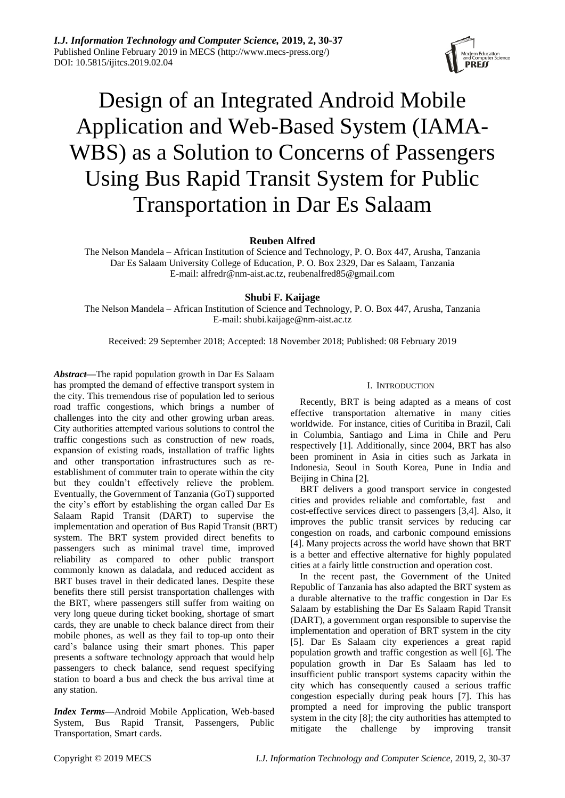# Design of an Integrated Android Mobile Application and Web-Based System (IAMA-WBS) as a Solution to Concerns of Passengers Using Bus Rapid Transit System for Public Transportation in Dar Es Salaam

**Reuben Alfred**

The Nelson Mandela – African Institution of Science and Technology, P. O. Box 447, Arusha, Tanzania Dar Es Salaam University College of Education, P. O. Box 2329, Dar es Salaam, Tanzania E-mail: alfredr@nm-aist.ac.tz, reubenalfred85@gmail.com

# **Shubi F. Kaijage**

The Nelson Mandela – African Institution of Science and Technology, P. O. Box 447, Arusha, Tanzania E-mail: [shubi.kaijage@nm-aist.ac.tz](mailto:fxzhu@public.wh.hb.cn)

Received: 29 September 2018; Accepted: 18 November 2018; Published: 08 February 2019

*Abstract***—**The rapid population growth in Dar Es Salaam has prompted the demand of effective transport system in the city. This tremendous rise of population led to serious road traffic congestions, which brings a number of challenges into the city and other growing urban areas. City authorities attempted various solutions to control the traffic congestions such as construction of new roads, expansion of existing roads, installation of traffic lights and other transportation infrastructures such as reestablishment of commuter train to operate within the city but they couldn't effectively relieve the problem. Eventually, the Government of Tanzania (GoT) supported the city's effort by establishing the organ called Dar Es Salaam Rapid Transit (DART) to supervise the implementation and operation of Bus Rapid Transit (BRT) system. The BRT system provided direct benefits to passengers such as minimal travel time, improved reliability as compared to other public transport commonly known as daladala, and reduced accident as BRT buses travel in their dedicated lanes. Despite these benefits there still persist transportation challenges with the BRT, where passengers still suffer from waiting on very long queue during ticket booking, shortage of smart cards, they are unable to check balance direct from their mobile phones, as well as they fail to top-up onto their card's balance using their smart phones. This paper presents a software technology approach that would help passengers to check balance, send request specifying station to board a bus and check the bus arrival time at any station.

*Index Terms***—**Android Mobile Application, Web-based System, Bus Rapid Transit, Passengers, Public Transportation, Smart cards.

# I. INTRODUCTION

Recently, BRT is being adapted as a means of cost effective transportation alternative in many cities worldwide. For instance, cities of Curitiba in Brazil, Cali in Columbia, Santiago and Lima in Chile and Peru respectively [1]. Additionally, since 2004, BRT has also been prominent in Asia in cities such as Jarkata in Indonesia, Seoul in South Korea, Pune in India and Beijing in China [2].

BRT delivers a good transport service in congested cities and provides reliable and comfortable, fast and cost-effective services direct to passengers [3,4]. Also, it improves the public transit services by reducing car congestion on roads, and carbonic compound emissions [4]. Many projects across the world have shown that BRT is a better and effective alternative for highly populated cities at a fairly little construction and operation cost.

In the recent past, the Government of the United Republic of Tanzania has also adapted the BRT system as a durable alternative to the traffic congestion in Dar Es Salaam by establishing the Dar Es Salaam Rapid Transit (DART), a government organ responsible to supervise the implementation and operation of BRT system in the city [5]. Dar Es Salaam city experiences a great rapid population growth and traffic congestion as well [6]. The population growth in Dar Es Salaam has led to insufficient public transport systems capacity within the city which has consequently caused a serious traffic congestion especially during peak hours [7]. This has prompted a need for improving the public transport system in the city [8]; the city authorities has attempted to mitigate the challenge by improving transit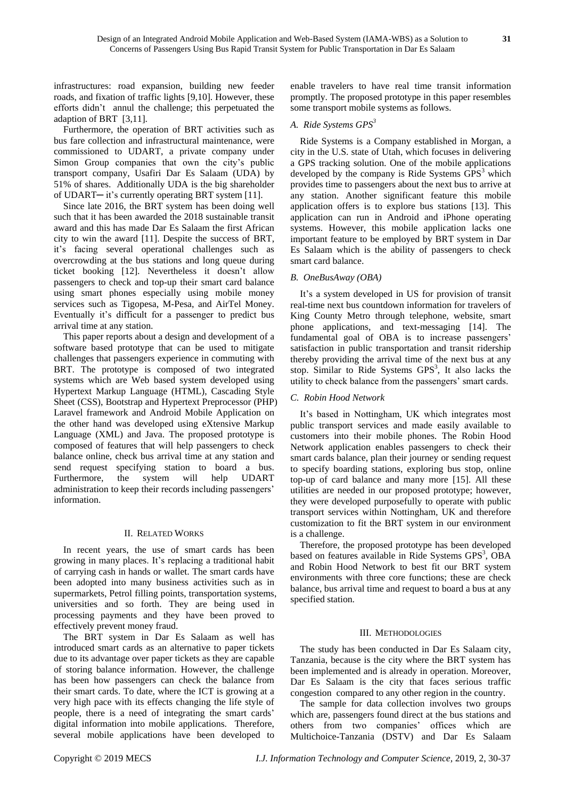infrastructures: road expansion, building new feeder roads, and fixation of traffic lights [9,10]. However, these efforts didn't annul the challenge; this perpetuated the adaption of BRT [3,11].

Furthermore, the operation of BRT activities such as bus fare collection and infrastructural maintenance, were commissioned to UDART, a private company under Simon Group companies that own the city's public transport company, Usafiri Dar Es Salaam (UDA) by 51% of shares. Additionally UDA is the big shareholder of UDART─ it's currently operating BRT system [11].

Since late 2016, the BRT system has been doing well such that it has been awarded the 2018 sustainable transit award and this has made Dar Es Salaam the first African city to win the award [11]. Despite the success of BRT, it's facing several operational challenges such as overcrowding at the bus stations and long queue during ticket booking [12]. Nevertheless it doesn't allow passengers to check and top-up their smart card balance using smart phones especially using mobile money services such as Tigopesa, M-Pesa, and AirTel Money. Eventually it's difficult for a passenger to predict bus arrival time at any station.

This paper reports about a design and development of a software based prototype that can be used to mitigate challenges that passengers experience in commuting with BRT. The prototype is composed of two integrated systems which are Web based system developed using Hypertext Markup Language (HTML), Cascading Style Sheet (CSS), Bootstrap and Hypertext Preprocessor (PHP) Laravel framework and Android Mobile Application on the other hand was developed using eXtensive Markup Language (XML) and Java. The proposed prototype is composed of features that will help passengers to check balance online, check bus arrival time at any station and send request specifying station to board a bus. Furthermore, the system will help UDART administration to keep their records including passengers' information.

#### II. RELATED WORKS

In recent years, the use of smart cards has been growing in many places. It's replacing a traditional habit of carrying cash in hands or wallet. The smart cards have been adopted into many business activities such as in supermarkets, Petrol filling points, transportation systems, universities and so forth. They are being used in processing payments and they have been proved to effectively prevent money fraud.

The BRT system in Dar Es Salaam as well has introduced smart cards as an alternative to paper tickets due to its advantage over paper tickets as they are capable of storing balance information. However, the challenge has been how passengers can check the balance from their smart cards. To date, where the ICT is growing at a very high pace with its effects changing the life style of people, there is a need of integrating the smart cards' digital information into mobile applications. Therefore, several mobile applications have been developed to

enable travelers to have real time transit information promptly. The proposed prototype in this paper resembles some transport mobile systems as follows.

#### *A. Ride Systems GPS<sup>3</sup>*

Ride Systems is a Company established in Morgan, a city in the U.S. state of Utah, which focuses in delivering a GPS tracking solution. One of the mobile applications developed by the company is Ride Systems  $GPS<sup>3</sup>$  which provides time to passengers about the next bus to arrive at any station. Another significant feature this mobile application offers is to explore bus stations [13]. This application can run in Android and iPhone operating systems. However, this mobile application lacks one important feature to be employed by BRT system in Dar Es Salaam which is the ability of passengers to check smart card balance.

#### *B. OneBusAway (OBA)*

It's a system developed in US for provision of transit real-time next bus countdown information for travelers of King County Metro through telephone, website, smart phone applications, and text-messaging [14]. The fundamental goal of OBA is to increase passengers' satisfaction in public transportation and transit ridership thereby providing the arrival time of the next bus at any stop. Similar to Ride Systems GPS<sup>3</sup>, It also lacks the utility to check balance from the passengers' smart cards.

#### *C. Robin Hood Network*

It's based in Nottingham, UK which integrates most public transport services and made easily available to customers into their mobile phones. The Robin Hood Network application enables passengers to check their smart cards balance, plan their journey or sending request to specify boarding stations, exploring bus stop, online top-up of card balance and many more [15]. All these utilities are needed in our proposed prototype; however, they were developed purposefully to operate with public transport services within Nottingham, UK and therefore customization to fit the BRT system in our environment is a challenge.

Therefore, the proposed prototype has been developed based on features available in Ride Systems GPS<sup>3</sup>, OBA and Robin Hood Network to best fit our BRT system environments with three core functions; these are check balance, bus arrival time and request to board a bus at any specified station.

#### III. METHODOLOGIES

The study has been conducted in Dar Es Salaam city, Tanzania, because is the city where the BRT system has been implemented and is already in operation. Moreover, Dar Es Salaam is the city that faces serious traffic congestion compared to any other region in the country.

The sample for data collection involves two groups which are, passengers found direct at the bus stations and others from two companies' offices which are Multichoice-Tanzania (DSTV) and Dar Es Salaam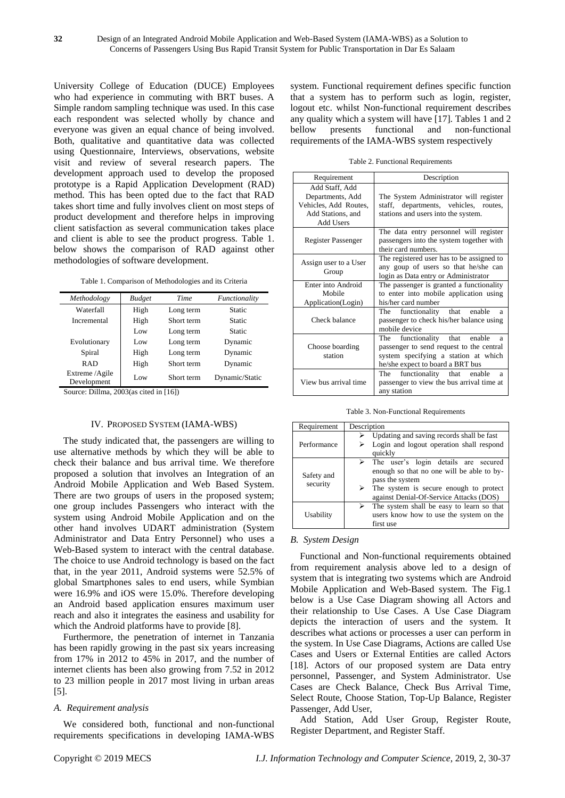University College of Education (DUCE) Employees who had experience in commuting with BRT buses. A Simple random sampling technique was used. In this case each respondent was selected wholly by chance and everyone was given an equal chance of being involved. Both, qualitative and quantitative data was collected using Questionnaire, Interviews, observations, website visit and review of several research papers. The development approach used to develop the proposed prototype is a Rapid Application Development (RAD) method. This has been opted due to the fact that RAD takes short time and fully involves client on most steps of product development and therefore helps in improving client satisfaction as several communication takes place and client is able to see the product progress. Table 1. below shows the comparison of RAD against other methodologies of software development.

Table 1. Comparison of Methodologies and its Criteria

| Methodology                   | <b>Budget</b> | Time       | Functionality  |
|-------------------------------|---------------|------------|----------------|
| Waterfall                     | High          | Long term  | Static         |
| Incremental                   | High          | Short term | Static         |
|                               | Low           | Long term  | Static         |
| Evolutionary                  | Low           | Long term  | Dynamic        |
| Spiral                        | High          | Long term  | Dynamic        |
| <b>RAD</b>                    | High          | Short term | Dynamic        |
| Extreme /Agile<br>Development | Low           | Short term | Dynamic/Static |

Source: Dillma, 2003(as cited in [16])

# IV. PROPOSED SYSTEM (IAMA-WBS)

The study indicated that, the passengers are willing to use alternative methods by which they will be able to check their balance and bus arrival time. We therefore proposed a solution that involves an Integration of an Android Mobile Application and Web Based System. There are two groups of users in the proposed system; one group includes Passengers who interact with the system using Android Mobile Application and on the other hand involves UDART administration (System Administrator and Data Entry Personnel) who uses a Web-Based system to interact with the central database. The choice to use Android technology is based on the fact that, in the year 2011, Android systems were 52.5% of global Smartphones sales to end users, while Symbian were 16.9% and iOS were 15.0%. Therefore developing an Android based application ensures maximum user reach and also it integrates the easiness and usability for which the Android platforms have to provide [8].

Furthermore, the penetration of internet in Tanzania has been rapidly growing in the past six years increasing from 17% in 2012 to 45% in 2017, and the number of internet clients has been also growing from 7.52 in 2012 to 23 million people in 2017 most living in urban areas [5].

# *A. Requirement analysis*

We considered both, functional and non-functional requirements specifications in developing IAMA-WBS system. Functional requirement defines specific function that a system has to perform such as login, register, logout etc. whilst Non-functional requirement describes any quality which a system will have [17]. Tables 1 and 2 bellow presents functional and non-functional requirements of the IAMA-WBS system respectively

Table 2. Functional Requirements

| Requirement                                                                                   | Description                                                                                                                                                   |  |
|-----------------------------------------------------------------------------------------------|---------------------------------------------------------------------------------------------------------------------------------------------------------------|--|
| Add Staff, Add<br>Departments, Add<br>Vehicles, Add Routes,<br>Add Stations, and<br>Add Users | The System Administrator will register<br>staff, departments, vehicles, routes,<br>stations and users into the system.                                        |  |
| <b>Register Passenger</b>                                                                     | The data entry personnel will register<br>passengers into the system together with<br>their card numbers.                                                     |  |
| Assign user to a User<br>Group                                                                | The registered user has to be assigned to<br>any goup of users so that he/she can<br>login as Data entry or Administrator                                     |  |
| Enter into Android<br>Mobile<br>Application(Login)                                            | The passenger is granted a functionality<br>to enter into mobile application using<br>his/her card number                                                     |  |
| Check balance                                                                                 | functionality that enable<br>The<br>a<br>passenger to check his/her balance using<br>mobile device                                                            |  |
| Choose boarding<br>station                                                                    | functionality that enable<br>The<br>a<br>passenger to send request to the central<br>system specifying a station at which<br>he/she expect to board a BRT bus |  |
| View bus arrival time                                                                         | functionality that enable<br>The<br>a<br>passenger to view the bus arrival time at<br>any station                                                             |  |

Table 3. Non-Functional Requirements

| Requirement            | Description                                                                                                                                                                                                     |  |  |
|------------------------|-----------------------------------------------------------------------------------------------------------------------------------------------------------------------------------------------------------------|--|--|
| Performance            | $\triangleright$ Updating and saving records shall be fast<br>Login and logout operation shall respond<br>quickly                                                                                               |  |  |
| Safety and<br>security | $\triangleright$ The user's login details are secured<br>enough so that no one will be able to by-<br>pass the system<br>The system is secure enough to protect<br>➤<br>against Denial-Of-Service Attacks (DOS) |  |  |
| Usability              | The system shall be easy to learn so that<br>users know how to use the system on the<br>first use                                                                                                               |  |  |

# *B. System Design*

Functional and Non-functional requirements obtained from requirement analysis above led to a design of system that is integrating two systems which are Android Mobile Application and Web-Based system. The Fig.1 below is a Use Case Diagram showing all Actors and their relationship to Use Cases. A Use Case Diagram depicts the interaction of users and the system. It describes what actions or processes a user can perform in the system. In Use Case Diagrams, Actions are called Use Cases and Users or External Entities are called Actors [18]. Actors of our proposed system are Data entry personnel, Passenger, and System Administrator. Use Cases are Check Balance, Check Bus Arrival Time, Select Route, Choose Station, Top-Up Balance, Register Passenger, Add User,

Add Station, Add User Group, Register Route, Register Department, and Register Staff.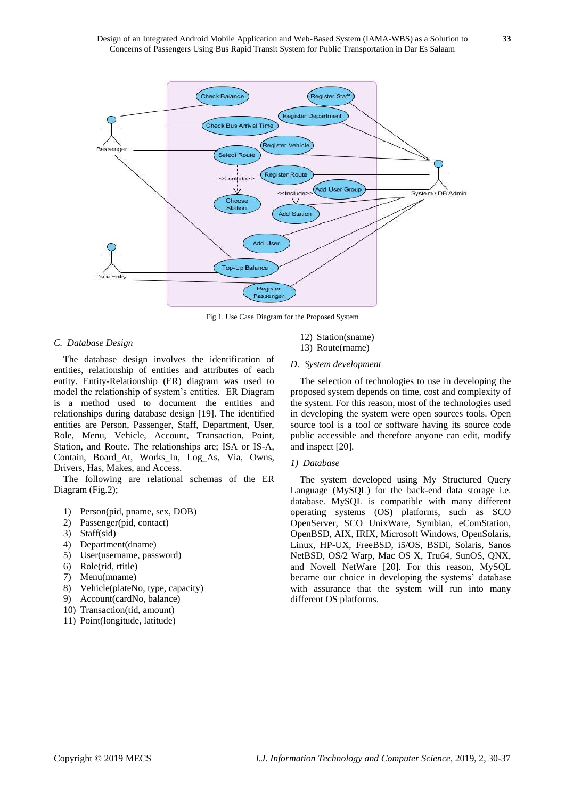

Fig.1. Use Case Diagram for the Proposed System

#### *C. Database Design*

The database design involves the identification of entities, relationship of entities and attributes of each entity. Entity-Relationship (ER) diagram was used to model the relationship of system's entities. ER Diagram is a method used to document the entities and relationships during database design [19]. The identified entities are Person, Passenger, Staff, Department, User, Role, Menu, Vehicle, Account, Transaction, Point, Station, and Route. The relationships are; ISA or IS-A, Contain, Board\_At, Works\_In, Log\_As, Via, Owns, Drivers, Has, Makes, and Access.

The following are relational schemas of the ER Diagram (Fig.2);

- 1) Person(pid, pname, sex, DOB)
- 2) Passenger(pid, contact)
- 3) Staff(sid)
- 4) Department(dname)
- 5) User(username, password)
- 6) Role(rid, rtitle)
- 7) Menu(mname)
- 8) Vehicle(plateNo, type, capacity)
- 9) Account(cardNo, balance)
- 10) Transaction(tid, amount)
- 11) Point(longitude, latitude)
- 12) Station(sname) 13) Route(rname)
- *D. System development*

The selection of technologies to use in developing the proposed system depends on time, cost and complexity of the system. For this reason, most of the technologies used in developing the system were open sources tools. Open source tool is a tool or software having its source code public accessible and therefore anyone can edit, modify and inspect [20].

#### *1) Database*

The system developed using My Structured Query Language (MySQL) for the back-end data storage i.e. database. MySQL is compatible with many different operating systems (OS) platforms, such as SCO OpenServer, SCO UnixWare, Symbian, eComStation, OpenBSD, AIX, IRIX, Microsoft Windows, OpenSolaris, Linux, HP-UX, FreeBSD, i5/OS, BSDi, Solaris, Sanos NetBSD, OS/2 Warp, Mac OS X, Tru64, SunOS, QNX, and Novell NetWare [20]. For this reason, MySQL became our choice in developing the systems' database with assurance that the system will run into many different OS platforms.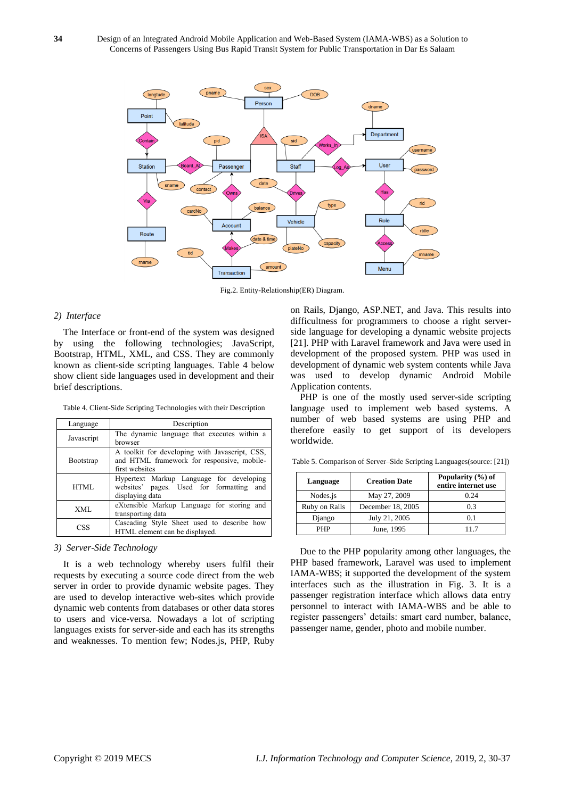

Fig.2. Entity-Relationship(ER) Diagram.

#### *2) Interface*

The Interface or front-end of the system was designed by using the following technologies; JavaScript, Bootstrap, HTML, XML, and CSS. They are commonly known as client-side scripting languages. Table 4 below show client side languages used in development and their brief descriptions.

Table 4. Client-Side Scripting Technologies with their Description

| Language   | Description                                                                                                    |
|------------|----------------------------------------------------------------------------------------------------------------|
| Javascript | The dynamic language that executes within a<br>browser                                                         |
| Bootstrap  | A toolkit for developing with Javascript, CSS,<br>and HTML framework for responsive, mobile-<br>first websites |
| HTML       | Hypertext Markup Language for developing<br>websites' pages. Used for formatting and<br>displaying data        |
| XML        | eXtensible Markup Language for storing and<br>transporting data                                                |
| CSS        | Cascading Style Sheet used to describe how<br>HTML element can be displayed.                                   |

*3) Server-Side Technology*

It is a web technology whereby users fulfil their requests by executing a source code direct from the web server in order to provide dynamic website pages. They are used to develop interactive web-sites which provide dynamic web contents from databases or other data stores to users and vice-versa. Nowadays a lot of scripting languages exists for server-side and each has its strengths and weaknesses. To mention few; Nodes.js, PHP, Ruby on Rails, Django, ASP.NET, and Java. This results into difficultness for programmers to choose a right serverside language for developing a dynamic website projects [21]. PHP with Laravel framework and Java were used in development of the proposed system. PHP was used in development of dynamic web system contents while Java was used to develop dynamic Android Mobile Application contents.

PHP is one of the mostly used server-side scripting language used to implement web based systems. A number of web based systems are using PHP and therefore easily to get support of its developers worldwide.

Table 5. Comparison of Server–Side Scripting Languages(source: [21])

| Language      | <b>Creation Date</b> | Popularity $(\% )$ of<br>entire internet use |
|---------------|----------------------|----------------------------------------------|
| Nodes.js      | May 27, 2009         | 0.24                                         |
| Ruby on Rails | December 18, 2005    | 0.3                                          |
| Django        | July 21, 2005        | 0.1                                          |
| PHP           | June, 1995           | 117                                          |

Due to the PHP popularity among other languages, the PHP based framework, Laravel was used to implement IAMA-WBS; it supported the development of the system interfaces such as the illustration in Fig. 3. It is a passenger registration interface which allows data entry personnel to interact with IAMA-WBS and be able to register passengers' details: smart card number, balance, passenger name, gender, photo and mobile number.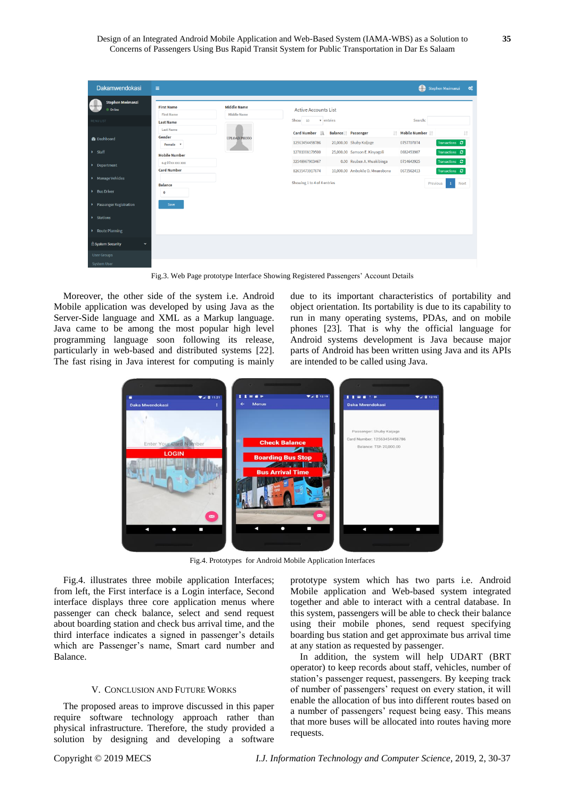| <b>Dakamwendokasi</b>                             | $\equiv$                               |                                          |                                                   | æ<br><b>Stephen Mwimanzi</b>                                     |
|---------------------------------------------------|----------------------------------------|------------------------------------------|---------------------------------------------------|------------------------------------------------------------------|
| <b>Stephen Mwimanzi</b><br><b>RODA</b><br>Conline | <b>First Name</b><br><b>First Name</b> | <b>Middle Name</b><br><b>Middle Name</b> | <b>Active Accounts List</b>                       |                                                                  |
| MENU LIST                                         | <b>Last Name</b>                       |                                          | v entries<br>Show 10<br>Search:                   |                                                                  |
|                                                   | <b>Last Name</b>                       |                                          | Card Number Li<br>Balance   Passenger             | IT Mobile Number IT                                              |
| <b>B</b> Dashboard                                | Gender<br>Female <b>v</b>              | <b>UPLOAD PHOTO</b>                      | 20,000.00 Shuby Kaijage<br>12563454458786         | 0757707074<br>Transactions <sup>2</sup>                          |
| $\rightarrow$ Staff                               | <b>Mobile Number</b>                   |                                          | 25,000.00 Samson E. Kinyogoli<br>12781008179500   | 0682453987<br>Transactions C                                     |
| Department                                        | e.g 07xx xxx xxx                       |                                          | 32548967903467                                    | 0.00 Reuben A. Mwakibinga<br>Transactions <b>C</b><br>0714642925 |
|                                                   | <b>Card Number</b>                     |                                          | 10,000.00 Ambokile O. Mwarobona<br>82635473917674 | 0673562413<br>Transactions <b>C</b>                              |
| Manage Vehicles<br>Bus Driver                     | <b>Balance</b><br>$\mathbf 0$          |                                          | Showing 1 to 4 of 4 entries                       | Previous<br>Next<br>$\mathbf{1}$                                 |
| ▶ Passenger Registration                          | Save                                   |                                          |                                                   |                                                                  |
| <b>Exations</b>                                   |                                        |                                          |                                                   |                                                                  |
| ▶ Route Planning                                  |                                        |                                          |                                                   |                                                                  |
| <b>&amp; System Security</b><br>$\checkmark$      |                                        |                                          |                                                   |                                                                  |
| <b>User Groups</b>                                |                                        |                                          |                                                   |                                                                  |
| System User                                       |                                        |                                          |                                                   |                                                                  |

Fig.3. Web Page prototype Interface Showing Registered Passengers' Account Details

Moreover, the other side of the system i.e. Android Mobile application was developed by using Java as the Server-Side language and XML as a Markup language. Java came to be among the most popular high level programming language soon following its release, particularly in web-based and distributed systems [22]. The fast rising in Java interest for computing is mainly due to its important characteristics of portability and object orientation. Its portability is due to its capability to run in many operating systems, PDAs, and on mobile phones [23]. That is why the official language for Android systems development is Java because major parts of Android has been written using Java and its APIs are intended to be called using Java.



Fig.4. Prototypes for Android Mobile Application Interfaces

Fig.4. illustrates three mobile application Interfaces; from left, the First interface is a Login interface, Second interface displays three core application menus where passenger can check balance, select and send request about boarding station and check bus arrival time, and the third interface indicates a signed in passenger's details which are Passenger's name, Smart card number and Balance.

#### V. CONCLUSION AND FUTURE WORKS

The proposed areas to improve discussed in this paper require software technology approach rather than physical infrastructure. Therefore, the study provided a solution by designing and developing a software prototype system which has two parts i.e. Android Mobile application and Web-based system integrated together and able to interact with a central database. In this system, passengers will be able to check their balance using their mobile phones, send request specifying boarding bus station and get approximate bus arrival time at any station as requested by passenger.

In addition, the system will help UDART (BRT operator) to keep records about staff, vehicles, number of station's passenger request, passengers. By keeping track of number of passengers' request on every station, it will enable the allocation of bus into different routes based on a number of passengers' request being easy. This means that more buses will be allocated into routes having more requests.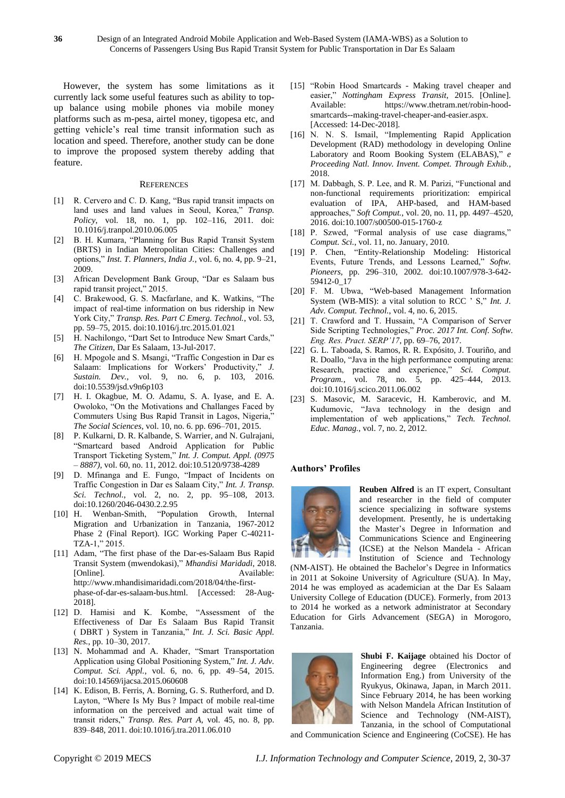However, the system has some limitations as it currently lack some useful features such as ability to topup balance using mobile phones via mobile money platforms such as m-pesa, airtel money, tigopesa etc, and getting vehicle's real time transit information such as location and speed. Therefore, another study can be done to improve the proposed system thereby adding that feature.

#### **REFERENCES**

- [1] R. Cervero and C. D. Kang, "Bus rapid transit impacts on land uses and land values in Seoul, Korea," *Transp. Policy*, vol. 18, no. 1, pp. 102–116, 2011. doi: 10.1016/j.tranpol.2010.06.005
- [2] B. H. Kumara, "Planning for Bus Rapid Transit System (BRTS) in Indian Metropolitan Cities: Challenges and options," *Inst. T. Planners, India J.*, vol. 6, no. 4, pp. 9–21, 2009.
- [3] African Development Bank Group, "Dar es Salaam bus rapid transit project," 2015.
- [4] C. Brakewood, G. S. Macfarlane, and K. Watkins, "The impact of real-time information on bus ridership in New York City," *Transp. Res. Part C Emerg. Technol.*, vol. 53, pp. 59–75, 2015. doi:10.1016/j.trc.2015.01.021
- [5] H. Nachilongo, "Dart Set to Introduce New Smart Cards," *The Citizen*, Dar Es Salaam, 13-Jul-2017.
- [6] H. Mpogole and S. Msangi, "Traffic Congestion in Dar es Salaam: Implications for Workers' Productivity," *J. Sustain. Dev.*, vol. 9, no. 6, p. 103, 2016. doi:10.5539/jsd.v9n6p103
- [7] H. I. Okagbue, M. O. Adamu, S. A. Iyase, and E. A. Owoloko, "On the Motivations and Challanges Faced by Commuters Using Bus Rapid Transit in Lagos, Nigeria," *The Social Sciences*, vol. 10, no. 6. pp. 696–701, 2015.
- [8] P. Kulkarni, D. R. Kalbande, S. Warrier, and N. Gulrajani, "Smartcard based Android Application for Public Transport Ticketing System," *Int. J. Comput. Appl. (0975 – 8887)*, vol. 60, no. 11, 2012. doi:10.5120/9738-4289
- [9] D. Mfinanga and E. Fungo, "Impact of Incidents on Traffic Congestion in Dar es Salaam City," *Int. J. Transp. Sci. Technol.*, vol. 2, no. 2, pp. 95–108, 2013. doi:10.1260/2046-0430.2.2.95
- [10] H. Wenban-Smith, "Population Growth, Internal Migration and Urbanization in Tanzania, 1967-2012 Phase 2 (Final Report). IGC Working Paper C-40211- TZA-1," 2015.
- [11] Adam, "The first phase of the Dar-es-Salaam Bus Rapid Transit System (mwendokasi)," *Mhandisi Maridadi*, 2018. [Online]. Available: http://www.mhandisimaridadi.com/2018/04/the-firstphase-of-dar-es-salaam-bus.html. [Accessed: 28-Aug-2018].
- [12] D. Hamisi and K. Kombe, "Assessment of the Effectiveness of Dar Es Salaam Bus Rapid Transit ( DBRT ) System in Tanzania," *Int. J. Sci. Basic Appl. Res.*, pp. 10–30, 2017.
- [13] N. Mohammad and A. Khader, "Smart Transportation Application using Global Positioning System," *Int. J. Adv. Comput. Sci. Appl.*, vol. 6, no. 6, pp. 49–54, 2015. doi:10.14569/ijacsa.2015.060608
- [14] K. Edison, B. Ferris, A. Borning, G. S. Rutherford, and D. Layton, "Where Is My Bus ? Impact of mobile real-time information on the perceived and actual wait time of transit riders," *Transp. Res. Part A*, vol. 45, no. 8, pp. 839–848, 2011. doi:10.1016/j.tra.2011.06.010
- [15] "Robin Hood Smartcards Making travel cheaper and easier," *Nottingham Express Transit*, 2015. [Online]. Available: https://www.thetram.net/robin-hoodsmartcards--making-travel-cheaper-and-easier.aspx. [Accessed: 14-Dec-2018].
- [16] N. N. S. Ismail, "Implementing Rapid Application Development (RAD) methodology in developing Online Laboratory and Room Booking System (ELABAS)," *e Proceeding Natl. Innov. Invent. Compet. Through Exhib.*, 2018.
- [17] M. Dabbagh, S. P. Lee, and R. M. Parizi, "Functional and non-functional requirements prioritization: empirical evaluation of IPA, AHP-based, and HAM-based approaches," *Soft Comput.*, vol. 20, no. 11, pp. 4497–4520, 2016. doi:10.1007/s00500-015-1760-z
- [18] P. Szwed, "Formal analysis of use case diagrams," *Comput. Sci.*, vol. 11, no. January, 2010.
- [19] P. Chen, "Entity-Relationship Modeling: Historical Events, Future Trends, and Lessons Learned," *Softw. Pioneers*, pp. 296–310, 2002. doi:10.1007/978-3-642- 59412-0\_17
- [20] F. M. Ubwa, "Web-based Management Information System (WB-MIS): a vital solution to RCC ' S," *Int. J. Adv. Comput. Technol.*, vol. 4, no. 6, 2015.
- [21] T. Crawford and T. Hussain, "A Comparison of Server Side Scripting Technologies," *Proc. 2017 Int. Conf. Softw. Eng. Res. Pract. SERP'17*, pp. 69–76, 2017.
- [22] G. L. Taboada, S. Ramos, R. R. Expósito, J. Touriño, and R. Doallo, "Java in the high performance computing arena: Research, practice and experience," *Sci. Comput. Program.*, vol. 78, no. 5, pp. 425–444, 2013. doi:10.1016/j.scico.2011.06.002
- [23] S. Masovic, M. Saracevic, H. Kamberovic, and M. Kudumovic, "Java technology in the design and implementation of web applications," *Tech. Technol. Educ. Manag.*, vol. 7, no. 2, 2012.

#### **Authors' Profiles**

Concerns of Passengers Using Bus Rapid Transit System for Public Transportation in Dar Es Salaam



**Reuben Alfred** is an IT expert, Consultant and researcher in the field of computer science specializing in software systems development. Presently, he is undertaking the Master's Degree in Information and Communications Science and Engineering (ICSE) at the Nelson Mandela - African Institution of Science and Technology

(NM-AIST). He obtained the Bachelor's Degree in Informatics in 2011 at Sokoine University of Agriculture (SUA). In May, 2014 he was employed as academician at the Dar Es Salaam University College of Education (DUCE). Formerly, from 2013 to 2014 he worked as a network administrator at Secondary Education for Girls Advancement (SEGA) in Morogoro, Tanzania.



**Shubi F. Kaijage** obtained his Doctor of Engineering degree (Electronics and Information Eng.) from University of the Ryukyus, Okinawa, Japan, in March 2011. Since February 2014, he has been working with Nelson Mandela African Institution of Science and Technology (NM-AIST), Tanzania, in the school of Computational

and Communication Science and Engineering (CoCSE). He has